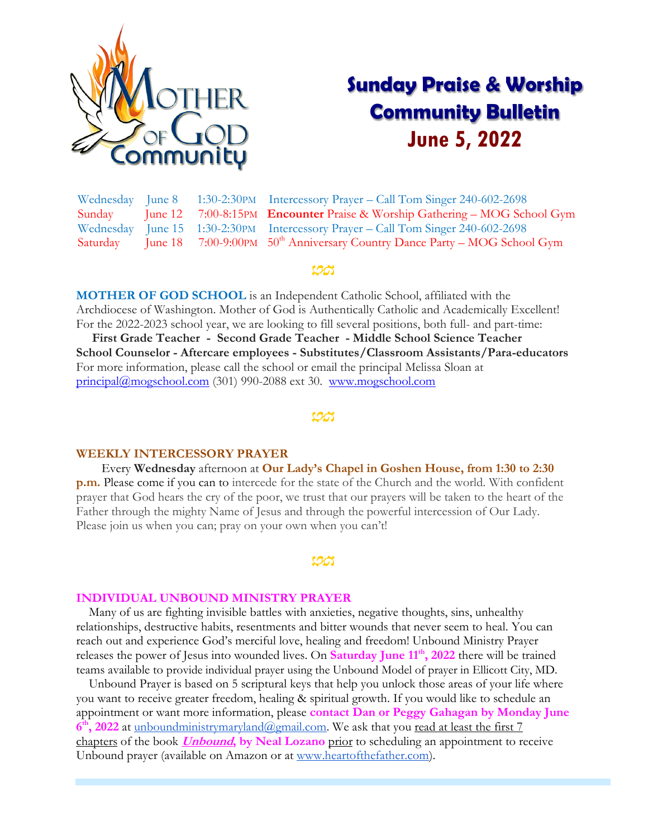

# **Sunday Praise & Worship Community Bulletin June 5, 2022**

Wednesday June 8 1:30-2:30PM Intercessory Prayer – Call Tom Singer 240-602-2698 Sunday June 12 7:00-8:15PM **Encounter** Praise & Worship Gathering – MOG School Gym Wednesday June 15 1:30-2:30PM Intercessory Prayer – Call Tom Singer 240-602-2698 Saturday June 18 7:00-9:00PM 50<sup>th</sup> Anniversary Country Dance Party – MOG School Gym

### 198

**MOTHER OF GOD SCHOOL** is an Independent Catholic School, affiliated with the Archdiocese of Washington. Mother of God is Authentically Catholic and Academically Excellent! For the 2022-2023 school year, we are looking to fill several positions, both full- and part-time:

 **First Grade Teacher - Second Grade Teacher - Middle School Science Teacher School Counselor - Aftercare employees - Substitutes/Classroom Assistants/Para-educators** For more information, please call the school or email the principal Melissa Sloan at [principal@mogschool.com](mailto:principal@mogschool.com) (301) 990-2088 ext 30. [www.mogschool.com](file://///mogsrvc/mogc/Bulletins_SNPM/2022/www.mogschool.com)

#### <u>ton</u>

#### **WEEKLY INTERCESSORY PRAYER**

 Every **Wednesday** afternoon at **Our Lady's Chapel in Goshen House, from 1:30 to 2:30 p.m.** Please come if you can to intercede for the state of the Church and the world. With confident prayer that God hears the cry of the poor, we trust that our prayers will be taken to the heart of the Father through the mighty Name of Jesus and through the powerful intercession of Our Lady. Please join us when you can; pray on your own when you can't!

#### **INDIVIDUAL UNBOUND MINISTRY PRAYER**

 Many of us are fighting invisible battles with anxieties, negative thoughts, sins, unhealthy relationships, destructive habits, resentments and bitter wounds that never seem to heal. You can reach out and experience God's merciful love, healing and freedom! Unbound Ministry Prayer releases the power of Jesus into wounded lives. On **Saturday June 11th, 2022** there will be trained teams available to provide individual prayer using the Unbound Model of prayer in Ellicott City, MD.

 Unbound Prayer is based on 5 scriptural keys that help you unlock those areas of your life where you want to receive greater freedom, healing & spiritual growth. If you would like to schedule an appointment or want more information, please **contact Dan or Peggy Gahagan by Monday June**  6<sup>th</sup>, 2022 at [unboundministrymaryland@gmail.com.](mailto:unboundministrymaryland@gmail.com) We ask that you read at least the first 7 chapters of the book **Unbound, by Neal Lozano** prior to scheduling an appointment to receive Unbound prayer (available on Amazon or at [www.heartofthefather.com\)](http://www.heartofthefather.com/).